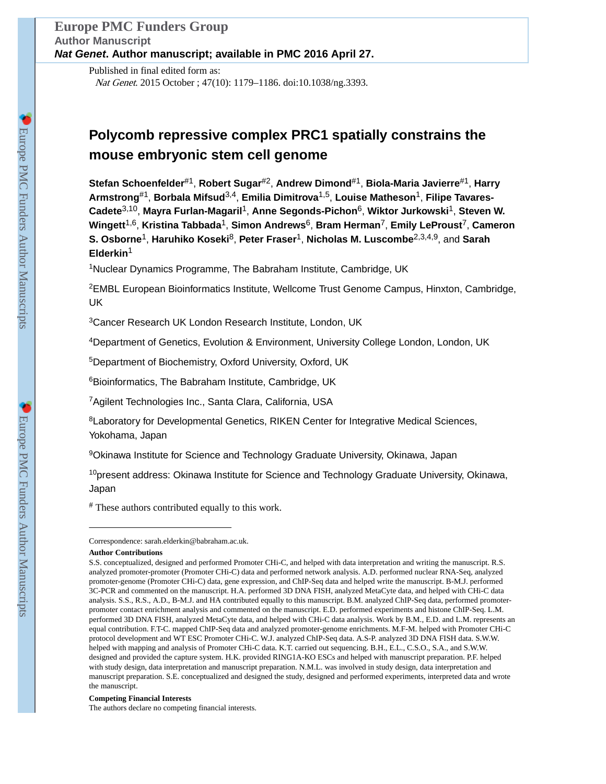Published in final edited form as: Nat Genet. 2015 October ; 47(10): 1179–1186. doi:10.1038/ng.3393.

# **Polycomb repressive complex PRC1 spatially constrains the mouse embryonic stem cell genome**

**Stefan Schoenfelder**#1, **Robert Sugar**#2, **Andrew Dimond**#1, **Biola-Maria Javierre**#1, **Harry Armstrong**#1, **Borbala Mifsud**3,4, **Emilia Dimitrova**1,5, **Louise Matheson**1, **Filipe Tavares-Cadete**3,10, **Mayra Furlan-Magaril**1, **Anne Segonds-Pichon**6, **Wiktor Jurkowski**1, **Steven W. Wingett**1,6, **Kristina Tabbada**1, **Simon Andrews**6, **Bram Herman**7, **Emily LeProust**7, **Cameron S. Osborne**1, **Haruhiko Koseki**8, **Peter Fraser**1, **Nicholas M. Luscombe**2,3,4,9, and **Sarah Elderkin**<sup>1</sup>

<sup>1</sup>Nuclear Dynamics Programme, The Babraham Institute, Cambridge, UK

<sup>2</sup>EMBL European Bioinformatics Institute, Wellcome Trust Genome Campus, Hinxton, Cambridge, UK

<sup>3</sup>Cancer Research UK London Research Institute, London, UK

<sup>4</sup>Department of Genetics, Evolution & Environment, University College London, London, UK

<sup>5</sup>Department of Biochemistry, Oxford University, Oxford, UK

<sup>6</sup>Bioinformatics, The Babraham Institute, Cambridge, UK

<sup>7</sup>Agilent Technologies Inc., Santa Clara, California, USA

<sup>8</sup>Laboratory for Developmental Genetics, RIKEN Center for Integrative Medical Sciences, Yokohama, Japan

<sup>9</sup>Okinawa Institute for Science and Technology Graduate University, Okinawa, Japan

 $10$ present address: Okinawa Institute for Science and Technology Graduate University, Okinawa, Japan

# These authors contributed equally to this work.

#### **Competing Financial Interests**

The authors declare no competing financial interests.

Correspondence: sarah.elderkin@babraham.ac.uk.

**Author Contributions**

S.S. conceptualized, designed and performed Promoter CHi-C, and helped with data interpretation and writing the manuscript. R.S. analyzed promoter-promoter (Promoter CHi-C) data and performed network analysis. A.D. performed nuclear RNA-Seq, analyzed promoter-genome (Promoter CHi-C) data, gene expression, and ChIP-Seq data and helped write the manuscript. B-M.J. performed 3C-PCR and commented on the manuscript. H.A. performed 3D DNA FISH, analyzed MetaCyte data, and helped with CHi-C data analysis. S.S., R.S., A.D., B-M.J. and HA contributed equally to this manuscript. B.M. analyzed ChIP-Seq data, performed promoterpromoter contact enrichment analysis and commented on the manuscript. E.D. performed experiments and histone ChIP-Seq. L.M. performed 3D DNA FISH, analyzed MetaCyte data, and helped with CHi-C data analysis. Work by B.M., E.D. and L.M. represents an equal contribution. F.T-C. mapped ChIP-Seq data and analyzed promoter-genome enrichments. M.F-M. helped with Promoter CHi-C protocol development and WT ESC Promoter CHi-C. W.J. analyzed ChIP-Seq data. A.S-P. analyzed 3D DNA FISH data. S.W.W. helped with mapping and analysis of Promoter CHi-C data. K.T. carried out sequencing. B.H., E.L., C.S.O., S.A., and S.W.W. designed and provided the capture system. H.K. provided RING1A-KO ESCs and helped with manuscript preparation. P.F. helped with study design, data interpretation and manuscript preparation. N.M.L. was involved in study design, data interpretation and manuscript preparation. S.E. conceptualized and designed the study, designed and performed experiments, interpreted data and wrote the manuscript.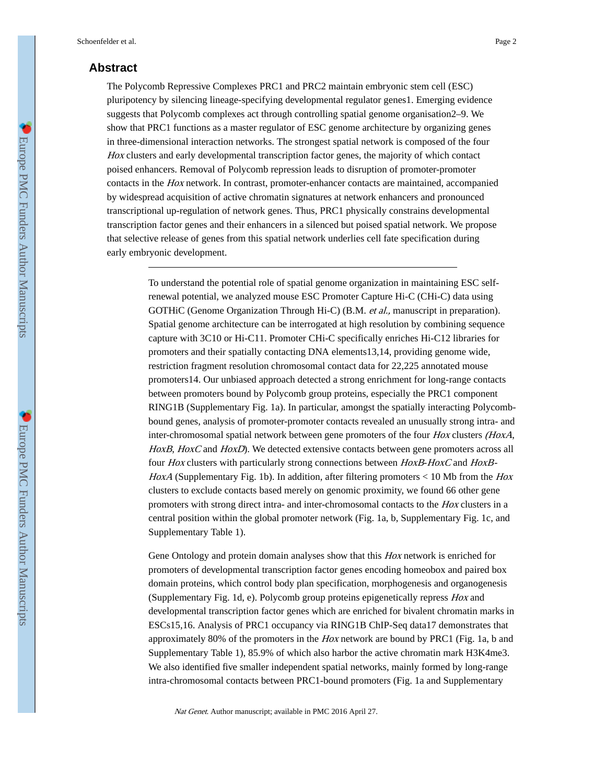## **Abstract**

The Polycomb Repressive Complexes PRC1 and PRC2 maintain embryonic stem cell (ESC) pluripotency by silencing lineage-specifying developmental regulator genes1. Emerging evidence suggests that Polycomb complexes act through controlling spatial genome organisation2–9. We show that PRC1 functions as a master regulator of ESC genome architecture by organizing genes in three-dimensional interaction networks. The strongest spatial network is composed of the four Hox clusters and early developmental transcription factor genes, the majority of which contact poised enhancers. Removal of Polycomb repression leads to disruption of promoter-promoter contacts in the Hox network. In contrast, promoter-enhancer contacts are maintained, accompanied by widespread acquisition of active chromatin signatures at network enhancers and pronounced transcriptional up-regulation of network genes. Thus, PRC1 physically constrains developmental transcription factor genes and their enhancers in a silenced but poised spatial network. We propose that selective release of genes from this spatial network underlies cell fate specification during early embryonic development.

> To understand the potential role of spatial genome organization in maintaining ESC selfrenewal potential, we analyzed mouse ESC Promoter Capture Hi-C (CHi-C) data using GOTHiC (Genome Organization Through Hi-C) (B.M. et al., manuscript in preparation). Spatial genome architecture can be interrogated at high resolution by combining sequence capture with 3C10 or Hi-C11. Promoter CHi-C specifically enriches Hi-C12 libraries for promoters and their spatially contacting DNA elements13,14, providing genome wide, restriction fragment resolution chromosomal contact data for 22,225 annotated mouse promoters14. Our unbiased approach detected a strong enrichment for long-range contacts between promoters bound by Polycomb group proteins, especially the PRC1 component RING1B (Supplementary Fig. 1a). In particular, amongst the spatially interacting Polycombbound genes, analysis of promoter-promoter contacts revealed an unusually strong intra- and inter-chromosomal spatial network between gene promoters of the four Hox clusters (HoxA, HoxB, HoxC and HoxD). We detected extensive contacts between gene promoters across all four Hox clusters with particularly strong connections between HoxB-HoxC and HoxB-HoxA (Supplementary Fig. 1b). In addition, after filtering promoters  $<$  10 Mb from the Hox clusters to exclude contacts based merely on genomic proximity, we found 66 other gene promoters with strong direct intra- and inter-chromosomal contacts to the Hox clusters in a central position within the global promoter network (Fig. 1a, b, Supplementary Fig. 1c, and Supplementary Table 1).

> Gene Ontology and protein domain analyses show that this Hox network is enriched for promoters of developmental transcription factor genes encoding homeobox and paired box domain proteins, which control body plan specification, morphogenesis and organogenesis (Supplementary Fig. 1d, e). Polycomb group proteins epigenetically repress Hox and developmental transcription factor genes which are enriched for bivalent chromatin marks in ESCs15,16. Analysis of PRC1 occupancy via RING1B ChIP-Seq data17 demonstrates that approximately 80% of the promoters in the  $Hox$  network are bound by PRC1 (Fig. 1a, b and Supplementary Table 1), 85.9% of which also harbor the active chromatin mark H3K4me3. We also identified five smaller independent spatial networks, mainly formed by long-range intra-chromosomal contacts between PRC1-bound promoters (Fig. 1a and Supplementary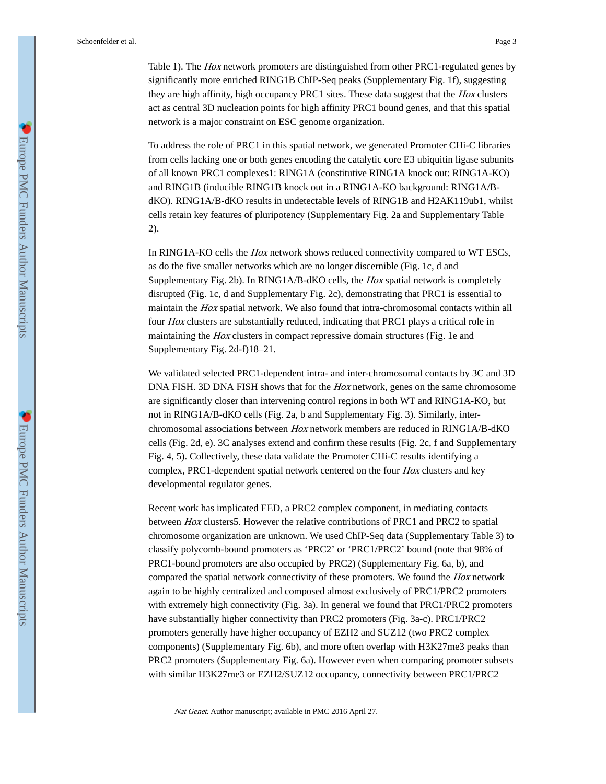Table 1). The Hox network promoters are distinguished from other PRC1-regulated genes by significantly more enriched RING1B ChIP-Seq peaks (Supplementary Fig. 1f), suggesting they are high affinity, high occupancy PRC1 sites. These data suggest that the *Hox* clusters act as central 3D nucleation points for high affinity PRC1 bound genes, and that this spatial network is a major constraint on ESC genome organization.

To address the role of PRC1 in this spatial network, we generated Promoter CHi-C libraries from cells lacking one or both genes encoding the catalytic core E3 ubiquitin ligase subunits of all known PRC1 complexes1: RING1A (constitutive RING1A knock out: RING1A-KO) and RING1B (inducible RING1B knock out in a RING1A-KO background: RING1A/BdKO). RING1A/B-dKO results in undetectable levels of RING1B and H2AK119ub1, whilst cells retain key features of pluripotency (Supplementary Fig. 2a and Supplementary Table 2).

In RING1A-KO cells the Hox network shows reduced connectivity compared to WT ESCs, as do the five smaller networks which are no longer discernible (Fig. 1c, d and Supplementary Fig. 2b). In RING1A/B-dKO cells, the Hox spatial network is completely disrupted (Fig. 1c, d and Supplementary Fig. 2c), demonstrating that PRC1 is essential to maintain the Hox spatial network. We also found that intra-chromosomal contacts within all four Hox clusters are substantially reduced, indicating that PRC1 plays a critical role in maintaining the *Hox* clusters in compact repressive domain structures (Fig. 1e and Supplementary Fig. 2d-f)18–21.

We validated selected PRC1-dependent intra- and inter-chromosomal contacts by 3C and 3D DNA FISH. 3D DNA FISH shows that for the Hox network, genes on the same chromosome are significantly closer than intervening control regions in both WT and RING1A-KO, but not in RING1A/B-dKO cells (Fig. 2a, b and Supplementary Fig. 3). Similarly, interchromosomal associations between Hox network members are reduced in RING1A/B-dKO cells (Fig. 2d, e). 3C analyses extend and confirm these results (Fig. 2c, f and Supplementary Fig. 4, 5). Collectively, these data validate the Promoter CHi-C results identifying a complex, PRC1-dependent spatial network centered on the four *Hox* clusters and key developmental regulator genes.

Recent work has implicated EED, a PRC2 complex component, in mediating contacts between Hox clusters5. However the relative contributions of PRC1 and PRC2 to spatial chromosome organization are unknown. We used ChIP-Seq data (Supplementary Table 3) to classify polycomb-bound promoters as 'PRC2' or 'PRC1/PRC2' bound (note that 98% of PRC1-bound promoters are also occupied by PRC2) (Supplementary Fig. 6a, b), and compared the spatial network connectivity of these promoters. We found the Hox network again to be highly centralized and composed almost exclusively of PRC1/PRC2 promoters with extremely high connectivity (Fig. 3a). In general we found that PRC1/PRC2 promoters have substantially higher connectivity than PRC2 promoters (Fig. 3a-c). PRC1/PRC2 promoters generally have higher occupancy of EZH2 and SUZ12 (two PRC2 complex components) (Supplementary Fig. 6b), and more often overlap with H3K27me3 peaks than PRC2 promoters (Supplementary Fig. 6a). However even when comparing promoter subsets with similar H3K27me3 or EZH2/SUZ12 occupancy, connectivity between PRC1/PRC2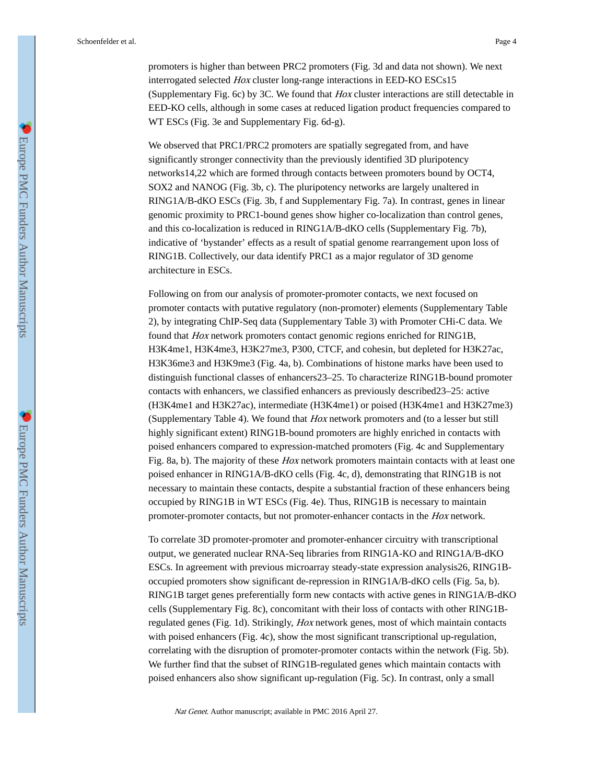promoters is higher than between PRC2 promoters (Fig. 3d and data not shown). We next interrogated selected Hox cluster long-range interactions in EED-KO ESCs15 (Supplementary Fig. 6c) by 3C. We found that Hox cluster interactions are still detectable in EED-KO cells, although in some cases at reduced ligation product frequencies compared to WT ESCs (Fig. 3e and Supplementary Fig. 6d-g).

We observed that PRC1/PRC2 promoters are spatially segregated from, and have significantly stronger connectivity than the previously identified 3D pluripotency networks14,22 which are formed through contacts between promoters bound by OCT4, SOX2 and NANOG (Fig. 3b, c). The pluripotency networks are largely unaltered in RING1A/B-dKO ESCs (Fig. 3b, f and Supplementary Fig. 7a). In contrast, genes in linear genomic proximity to PRC1-bound genes show higher co-localization than control genes, and this co-localization is reduced in RING1A/B-dKO cells (Supplementary Fig. 7b), indicative of 'bystander' effects as a result of spatial genome rearrangement upon loss of RING1B. Collectively, our data identify PRC1 as a major regulator of 3D genome architecture in ESCs.

Following on from our analysis of promoter-promoter contacts, we next focused on promoter contacts with putative regulatory (non-promoter) elements (Supplementary Table 2), by integrating ChIP-Seq data (Supplementary Table 3) with Promoter CHi-C data. We found that Hox network promoters contact genomic regions enriched for RING1B, H3K4me1, H3K4me3, H3K27me3, P300, CTCF, and cohesin, but depleted for H3K27ac, H3K36me3 and H3K9me3 (Fig. 4a, b). Combinations of histone marks have been used to distinguish functional classes of enhancers23–25. To characterize RING1B-bound promoter contacts with enhancers, we classified enhancers as previously described23–25: active (H3K4me1 and H3K27ac), intermediate (H3K4me1) or poised (H3K4me1 and H3K27me3) (Supplementary Table 4). We found that Hox network promoters and (to a lesser but still highly significant extent) RING1B-bound promoters are highly enriched in contacts with poised enhancers compared to expression-matched promoters (Fig. 4c and Supplementary Fig. 8a, b). The majority of these *Hox* network promoters maintain contacts with at least one poised enhancer in RING1A/B-dKO cells (Fig. 4c, d), demonstrating that RING1B is not necessary to maintain these contacts, despite a substantial fraction of these enhancers being occupied by RING1B in WT ESCs (Fig. 4e). Thus, RING1B is necessary to maintain promoter-promoter contacts, but not promoter-enhancer contacts in the Hox network.

To correlate 3D promoter-promoter and promoter-enhancer circuitry with transcriptional output, we generated nuclear RNA-Seq libraries from RING1A-KO and RING1A/B-dKO ESCs. In agreement with previous microarray steady-state expression analysis26, RING1Boccupied promoters show significant de-repression in RING1A/B-dKO cells (Fig. 5a, b). RING1B target genes preferentially form new contacts with active genes in RING1A/B-dKO cells (Supplementary Fig. 8c), concomitant with their loss of contacts with other RING1Bregulated genes (Fig. 1d). Strikingly, Hox network genes, most of which maintain contacts with poised enhancers (Fig. 4c), show the most significant transcriptional up-regulation, correlating with the disruption of promoter-promoter contacts within the network (Fig. 5b). We further find that the subset of RING1B-regulated genes which maintain contacts with poised enhancers also show significant up-regulation (Fig. 5c). In contrast, only a small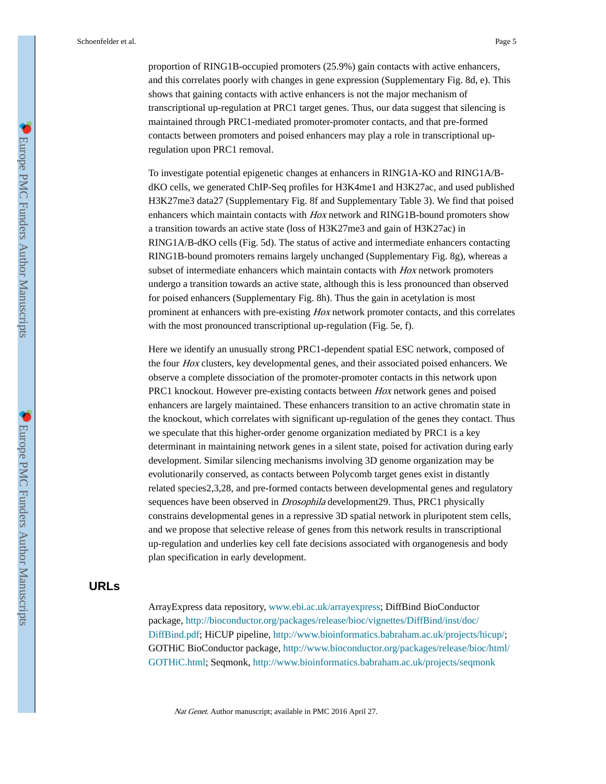proportion of RING1B-occupied promoters (25.9%) gain contacts with active enhancers, and this correlates poorly with changes in gene expression (Supplementary Fig. 8d, e). This shows that gaining contacts with active enhancers is not the major mechanism of transcriptional up-regulation at PRC1 target genes. Thus, our data suggest that silencing is maintained through PRC1-mediated promoter-promoter contacts, and that pre-formed contacts between promoters and poised enhancers may play a role in transcriptional upregulation upon PRC1 removal.

To investigate potential epigenetic changes at enhancers in RING1A-KO and RING1A/BdKO cells, we generated ChIP-Seq profiles for H3K4me1 and H3K27ac, and used published H3K27me3 data27 (Supplementary Fig. 8f and Supplementary Table 3). We find that poised enhancers which maintain contacts with Hox network and RING1B-bound promoters show a transition towards an active state (loss of H3K27me3 and gain of H3K27ac) in RING1A/B-dKO cells (Fig. 5d). The status of active and intermediate enhancers contacting RING1B-bound promoters remains largely unchanged (Supplementary Fig. 8g), whereas a subset of intermediate enhancers which maintain contacts with Hox network promoters undergo a transition towards an active state, although this is less pronounced than observed for poised enhancers (Supplementary Fig. 8h). Thus the gain in acetylation is most prominent at enhancers with pre-existing Hox network promoter contacts, and this correlates with the most pronounced transcriptional up-regulation (Fig. 5e, f).

Here we identify an unusually strong PRC1-dependent spatial ESC network, composed of the four Hox clusters, key developmental genes, and their associated poised enhancers. We observe a complete dissociation of the promoter-promoter contacts in this network upon PRC1 knockout. However pre-existing contacts between Hox network genes and poised enhancers are largely maintained. These enhancers transition to an active chromatin state in the knockout, which correlates with significant up-regulation of the genes they contact. Thus we speculate that this higher-order genome organization mediated by PRC1 is a key determinant in maintaining network genes in a silent state, poised for activation during early development. Similar silencing mechanisms involving 3D genome organization may be evolutionarily conserved, as contacts between Polycomb target genes exist in distantly related species2,3,28, and pre-formed contacts between developmental genes and regulatory sequences have been observed in *Drosophila* development29. Thus, PRC1 physically constrains developmental genes in a repressive 3D spatial network in pluripotent stem cells, and we propose that selective release of genes from this network results in transcriptional up-regulation and underlies key cell fate decisions associated with organogenesis and body plan specification in early development.

## **URLs**

ArrayExpress data repository, [www.ebi.ac.uk/arrayexpress](http://www.ebi.ac.uk/arrayexpress/); DiffBind BioConductor package, [http://bioconductor.org/packages/release/bioc/vignettes/DiffBind/inst/doc/](http://bioconductor.org/packages/release/bioc/vignettes/DiffBind/inst/doc/DiffBind.pdf) [DiffBind.pdf;](http://bioconductor.org/packages/release/bioc/vignettes/DiffBind/inst/doc/DiffBind.pdf) HiCUP pipeline, [http://www.bioinformatics.babraham.ac.uk/projects/hicup/;](http://www.bioinformatics.babraham.ac.uk/projects/hicup/) GOTHiC BioConductor package, [http://www.bioconductor.org/packages/release/bioc/html/](http://www.bioconductor.org/packages/release/bioc/html/GOTHiC.html) [GOTHiC.html;](http://www.bioconductor.org/packages/release/bioc/html/GOTHiC.html) Seqmonk, <http://www.bioinformatics.babraham.ac.uk/projects/seqmonk>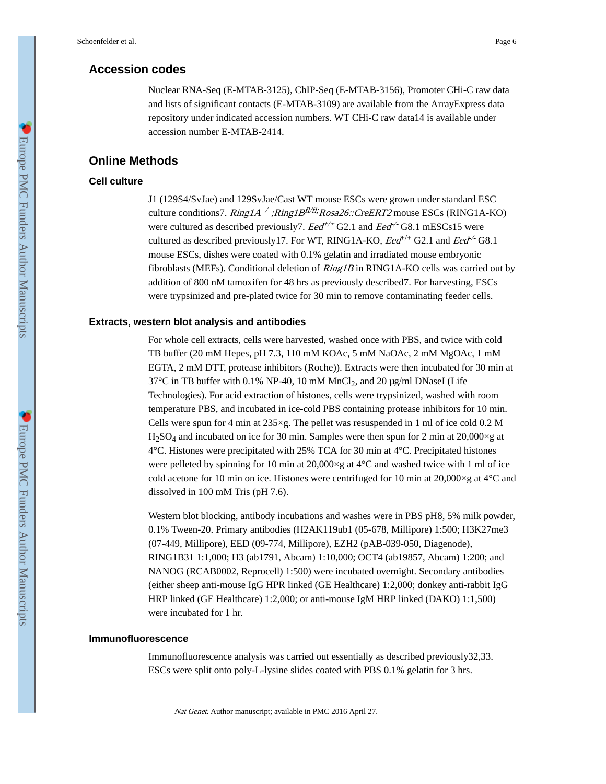## **Accession codes**

Nuclear RNA-Seq (E-MTAB-3125), ChIP-Seq (E-MTAB-3156), Promoter CHi-C raw data and lists of significant contacts (E-MTAB-3109) are available from the ArrayExpress data repository under indicated accession numbers. WT CHi-C raw data14 is available under accession number E-MTAB-2414.

## **Online Methods**

## **Cell culture**

J1 (129S4/SvJae) and 129SvJae/Cast WT mouse ESCs were grown under standard ESC culture conditions7.  $Ring1A^{-/-}$ ; $Ring1B^{f1/f1}$ ; $Rosa26$ ::CreERT2 mouse ESCs (RING1A-KO) were cultured as described previously7.  $Eed^{+/+}$  G2.1 and  $Eed^{-/-}$  G8.1 mESCs15 were cultured as described previously 17. For WT, RING1A-KO,  $Eed^{+/+}$  G2.1 and  $Eed^{+/-}$  G8.1 mouse ESCs, dishes were coated with 0.1% gelatin and irradiated mouse embryonic fibroblasts (MEFs). Conditional deletion of  $Ring1B$  in RING1A-KO cells was carried out by addition of 800 nM tamoxifen for 48 hrs as previously described7. For harvesting, ESCs were trypsinized and pre-plated twice for 30 min to remove contaminating feeder cells.

## **Extracts, western blot analysis and antibodies**

For whole cell extracts, cells were harvested, washed once with PBS, and twice with cold TB buffer (20 mM Hepes, pH 7.3, 110 mM KOAc, 5 mM NaOAc, 2 mM MgOAc, 1 mM EGTA, 2 mM DTT, protease inhibitors (Roche)). Extracts were then incubated for 30 min at  $37^{\circ}$ C in TB buffer with 0.1% NP-40, 10 mM MnCl<sub>2</sub>, and 20 µg/ml DNaseI (Life Technologies). For acid extraction of histones, cells were trypsinized, washed with room temperature PBS, and incubated in ice-cold PBS containing protease inhibitors for 10 min. Cells were spun for 4 min at  $235 \times g$ . The pellet was resuspended in 1 ml of ice cold 0.2 M  $H_2SO_4$  and incubated on ice for 30 min. Samples were then spun for 2 min at 20,000 $\times$ g at 4°C. Histones were precipitated with 25% TCA for 30 min at 4°C. Precipitated histones were pelleted by spinning for 10 min at  $20,000\times g$  at  $4^{\circ}$ C and washed twice with 1 ml of ice cold acetone for 10 min on ice. Histones were centrifuged for 10 min at 20,000×g at 4°C and dissolved in 100 mM Tris (pH 7.6).

Western blot blocking, antibody incubations and washes were in PBS pH8, 5% milk powder, 0.1% Tween-20. Primary antibodies (H2AK119ub1 (05-678, Millipore) 1:500; H3K27me3 (07-449, Millipore), EED (09-774, Millipore), EZH2 (pAB-039-050, Diagenode), RING1B31 1:1,000; H3 (ab1791, Abcam) 1:10,000; OCT4 (ab19857, Abcam) 1:200; and NANOG (RCAB0002, Reprocell) 1:500) were incubated overnight. Secondary antibodies (either sheep anti-mouse IgG HPR linked (GE Healthcare) 1:2,000; donkey anti-rabbit IgG HRP linked (GE Healthcare) 1:2,000; or anti-mouse IgM HRP linked (DAKO) 1:1,500) were incubated for 1 hr.

#### **Immunofluorescence**

Immunofluorescence analysis was carried out essentially as described previously32,33. ESCs were split onto poly-L-lysine slides coated with PBS 0.1% gelatin for 3 hrs.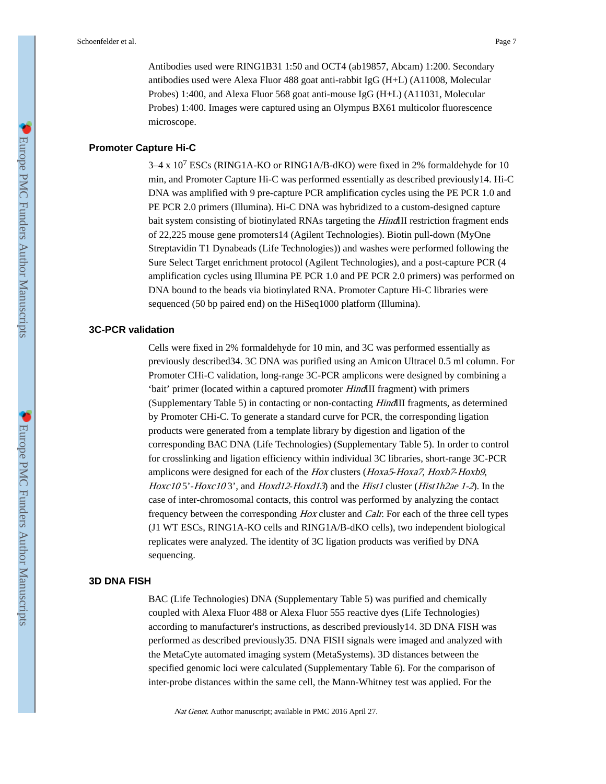Antibodies used were RING1B31 1:50 and OCT4 (ab19857, Abcam) 1:200. Secondary antibodies used were Alexa Fluor 488 goat anti-rabbit IgG (H+L) (A11008, Molecular Probes) 1:400, and Alexa Fluor 568 goat anti-mouse IgG (H+L) (A11031, Molecular Probes) 1:400. Images were captured using an Olympus BX61 multicolor fluorescence microscope.

#### **Promoter Capture Hi-C**

 $3-4 \times 10^7$  ESCs (RING1A-KO or RING1A/B-dKO) were fixed in 2% formaldehyde for 10 min, and Promoter Capture Hi-C was performed essentially as described previously14. Hi-C DNA was amplified with 9 pre-capture PCR amplification cycles using the PE PCR 1.0 and PE PCR 2.0 primers (Illumina). Hi-C DNA was hybridized to a custom-designed capture bait system consisting of biotinylated RNAs targeting the *HindIII* restriction fragment ends of 22,225 mouse gene promoters14 (Agilent Technologies). Biotin pull-down (MyOne Streptavidin T1 Dynabeads (Life Technologies)) and washes were performed following the Sure Select Target enrichment protocol (Agilent Technologies), and a post-capture PCR (4 amplification cycles using Illumina PE PCR 1.0 and PE PCR 2.0 primers) was performed on DNA bound to the beads via biotinylated RNA. Promoter Capture Hi-C libraries were sequenced (50 bp paired end) on the HiSeq1000 platform (Illumina).

## **3C-PCR validation**

Cells were fixed in 2% formaldehyde for 10 min, and 3C was performed essentially as previously described34. 3C DNA was purified using an Amicon Ultracel 0.5 ml column. For Promoter CHi-C validation, long-range 3C-PCR amplicons were designed by combining a 'bait' primer (located within a captured promoter HindIII fragment) with primers (Supplementary Table 5) in contacting or non-contacting HindIII fragments, as determined by Promoter CHi-C. To generate a standard curve for PCR, the corresponding ligation products were generated from a template library by digestion and ligation of the corresponding BAC DNA (Life Technologies) (Supplementary Table 5). In order to control for crosslinking and ligation efficiency within individual 3C libraries, short-range 3C-PCR amplicons were designed for each of the Hox clusters (Hoxa5-Hoxa7, Hoxb7-Hoxb9, Hoxc105'-Hoxc103', and Hoxd12-Hoxd13) and the Hist1 cluster (Hist1h2ae 1-2). In the case of inter-chromosomal contacts, this control was performed by analyzing the contact frequency between the corresponding Hox cluster and Calr. For each of the three cell types (J1 WT ESCs, RING1A-KO cells and RING1A/B-dKO cells), two independent biological replicates were analyzed. The identity of 3C ligation products was verified by DNA sequencing.

### **3D DNA FISH**

BAC (Life Technologies) DNA (Supplementary Table 5) was purified and chemically coupled with Alexa Fluor 488 or Alexa Fluor 555 reactive dyes (Life Technologies) according to manufacturer's instructions, as described previously14. 3D DNA FISH was performed as described previously35. DNA FISH signals were imaged and analyzed with the MetaCyte automated imaging system (MetaSystems). 3D distances between the specified genomic loci were calculated (Supplementary Table 6). For the comparison of inter-probe distances within the same cell, the Mann-Whitney test was applied. For the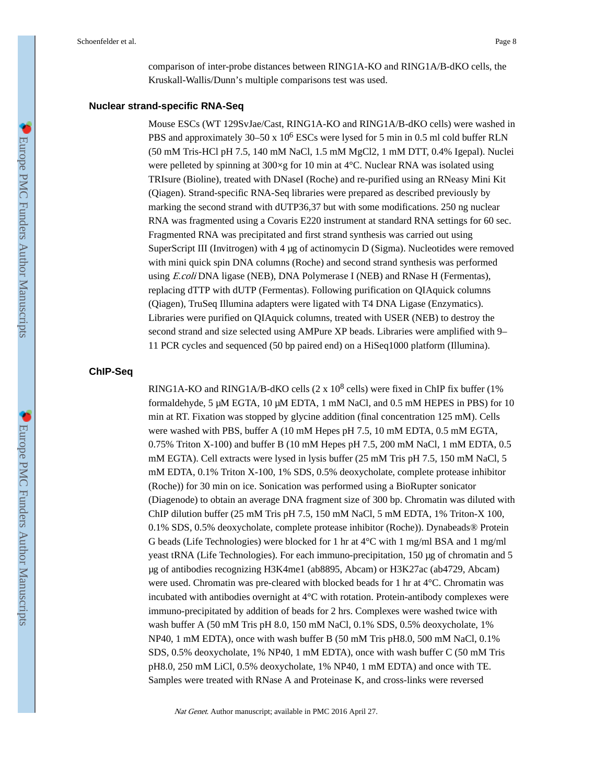comparison of inter-probe distances between RING1A-KO and RING1A/B-dKO cells, the Kruskall-Wallis/Dunn's multiple comparisons test was used.

#### **Nuclear strand-specific RNA-Seq**

Mouse ESCs (WT 129SvJae/Cast, RING1A-KO and RING1A/B-dKO cells) were washed in PBS and approximately 30–50 x  $10^6$  ESCs were lysed for 5 min in 0.5 ml cold buffer RLN (50 mM Tris-HCl pH 7.5, 140 mM NaCl, 1.5 mM MgCl2, 1 mM DTT, 0.4% Igepal). Nuclei were pelleted by spinning at  $300 \times g$  for 10 min at 4°C. Nuclear RNA was isolated using TRIsure (Bioline), treated with DNaseI (Roche) and re-purified using an RNeasy Mini Kit (Qiagen). Strand-specific RNA-Seq libraries were prepared as described previously by marking the second strand with dUTP36,37 but with some modifications. 250 ng nuclear RNA was fragmented using a Covaris E220 instrument at standard RNA settings for 60 sec. Fragmented RNA was precipitated and first strand synthesis was carried out using SuperScript III (Invitrogen) with 4 µg of actinomycin D (Sigma). Nucleotides were removed with mini quick spin DNA columns (Roche) and second strand synthesis was performed using E.coli DNA ligase (NEB), DNA Polymerase I (NEB) and RNase H (Fermentas), replacing dTTP with dUTP (Fermentas). Following purification on QIAquick columns (Qiagen), TruSeq Illumina adapters were ligated with T4 DNA Ligase (Enzymatics). Libraries were purified on QIAquick columns, treated with USER (NEB) to destroy the second strand and size selected using AMPure XP beads. Libraries were amplified with 9– 11 PCR cycles and sequenced (50 bp paired end) on a HiSeq1000 platform (Illumina).

#### **ChIP-Seq**

RING1A-KO and RING1A/B-dKO cells  $(2 \times 10^8 \text{ cells})$  were fixed in ChIP fix buffer (1%) formaldehyde, 5 μM EGTA, 10 μM EDTA, 1 mM NaCl, and 0.5 mM HEPES in PBS) for 10 min at RT. Fixation was stopped by glycine addition (final concentration 125 mM). Cells were washed with PBS, buffer A (10 mM Hepes pH 7.5, 10 mM EDTA, 0.5 mM EGTA, 0.75% Triton X-100) and buffer B (10 mM Hepes pH 7.5, 200 mM NaCl, 1 mM EDTA, 0.5 mM EGTA). Cell extracts were lysed in lysis buffer (25 mM Tris pH 7.5, 150 mM NaCl, 5 mM EDTA, 0.1% Triton X-100, 1% SDS, 0.5% deoxycholate, complete protease inhibitor (Roche)) for 30 min on ice. Sonication was performed using a BioRupter sonicator (Diagenode) to obtain an average DNA fragment size of 300 bp. Chromatin was diluted with ChIP dilution buffer (25 mM Tris pH 7.5, 150 mM NaCl, 5 mM EDTA, 1% Triton-X 100, 0.1% SDS, 0.5% deoxycholate, complete protease inhibitor (Roche)). Dynabeads® Protein G beads (Life Technologies) were blocked for 1 hr at  $4^{\circ}$ C with 1 mg/ml BSA and 1 mg/ml yeast tRNA (Life Technologies). For each immuno-precipitation, 150 µg of chromatin and 5 µg of antibodies recognizing H3K4me1 (ab8895, Abcam) or H3K27ac (ab4729, Abcam) were used. Chromatin was pre-cleared with blocked beads for 1 hr at 4°C. Chromatin was incubated with antibodies overnight at 4°C with rotation. Protein-antibody complexes were immuno-precipitated by addition of beads for 2 hrs. Complexes were washed twice with wash buffer A (50 mM Tris pH 8.0, 150 mM NaCl, 0.1% SDS, 0.5% deoxycholate, 1% NP40, 1 mM EDTA), once with wash buffer B (50 mM Tris pH8.0, 500 mM NaCl, 0.1% SDS, 0.5% deoxycholate, 1% NP40, 1 mM EDTA), once with wash buffer C (50 mM Tris pH8.0, 250 mM LiCl, 0.5% deoxycholate, 1% NP40, 1 mM EDTA) and once with TE. Samples were treated with RNase A and Proteinase K, and cross-links were reversed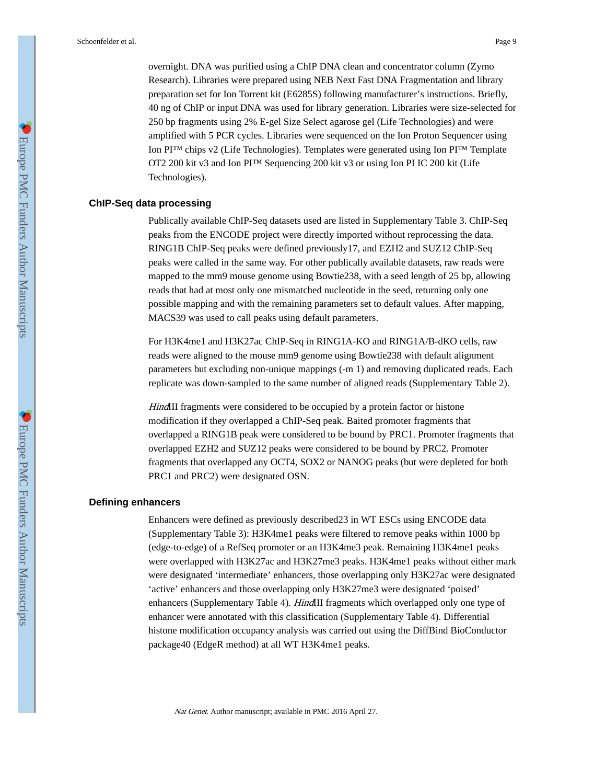overnight. DNA was purified using a ChIP DNA clean and concentrator column (Zymo Research). Libraries were prepared using NEB Next Fast DNA Fragmentation and library preparation set for Ion Torrent kit (E6285S) following manufacturer's instructions. Briefly, 40 ng of ChIP or input DNA was used for library generation. Libraries were size-selected for 250 bp fragments using 2% E-gel Size Select agarose gel (Life Technologies) and were amplified with 5 PCR cycles. Libraries were sequenced on the Ion Proton Sequencer using Ion PI™ chips v2 (Life Technologies). Templates were generated using Ion PI™ Template OT2 200 kit v3 and Ion PI™ Sequencing 200 kit v3 or using Ion PI IC 200 kit (Life Technologies).

## **ChIP-Seq data processing**

Publically available ChIP-Seq datasets used are listed in Supplementary Table 3. ChIP-Seq peaks from the ENCODE project were directly imported without reprocessing the data. RING1B ChIP-Seq peaks were defined previously17, and EZH2 and SUZ12 ChIP-Seq peaks were called in the same way. For other publically available datasets, raw reads were mapped to the mm9 mouse genome using Bowtie238, with a seed length of 25 bp, allowing reads that had at most only one mismatched nucleotide in the seed, returning only one possible mapping and with the remaining parameters set to default values. After mapping, MACS39 was used to call peaks using default parameters.

For H3K4me1 and H3K27ac ChIP-Seq in RING1A-KO and RING1A/B-dKO cells, raw reads were aligned to the mouse mm9 genome using Bowtie238 with default alignment parameters but excluding non-unique mappings (-m 1) and removing duplicated reads. Each replicate was down-sampled to the same number of aligned reads (Supplementary Table 2).

HindIII fragments were considered to be occupied by a protein factor or histone modification if they overlapped a ChIP-Seq peak. Baited promoter fragments that overlapped a RING1B peak were considered to be bound by PRC1. Promoter fragments that overlapped EZH2 and SUZ12 peaks were considered to be bound by PRC2. Promoter fragments that overlapped any OCT4, SOX2 or NANOG peaks (but were depleted for both PRC1 and PRC2) were designated OSN.

#### **Defining enhancers**

Enhancers were defined as previously described23 in WT ESCs using ENCODE data (Supplementary Table 3): H3K4me1 peaks were filtered to remove peaks within 1000 bp (edge-to-edge) of a RefSeq promoter or an H3K4me3 peak. Remaining H3K4me1 peaks were overlapped with H3K27ac and H3K27me3 peaks. H3K4me1 peaks without either mark were designated 'intermediate' enhancers, those overlapping only H3K27ac were designated 'active' enhancers and those overlapping only H3K27me3 were designated 'poised' enhancers (Supplementary Table 4). *HindIII* fragments which overlapped only one type of enhancer were annotated with this classification (Supplementary Table 4). Differential histone modification occupancy analysis was carried out using the DiffBind BioConductor package40 (EdgeR method) at all WT H3K4me1 peaks.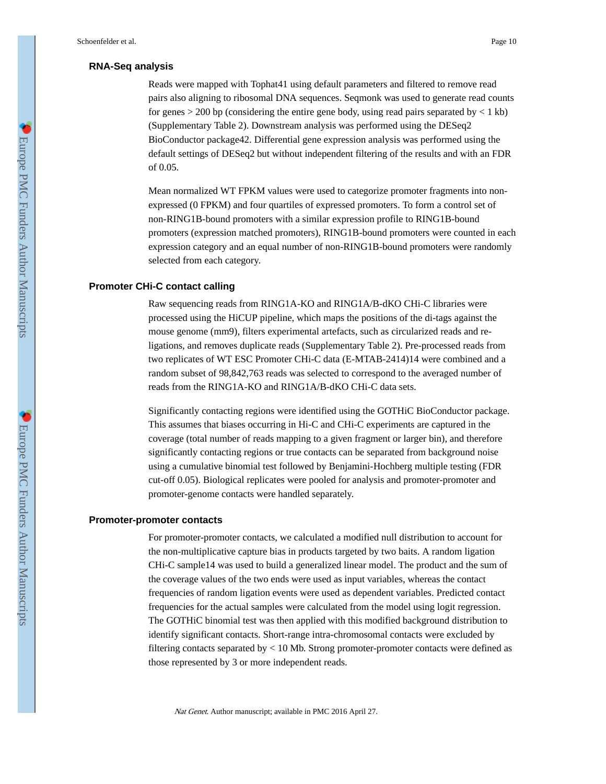## **RNA-Seq analysis**

Reads were mapped with Tophat41 using default parameters and filtered to remove read pairs also aligning to ribosomal DNA sequences. Seqmonk was used to generate read counts for genes  $> 200$  bp (considering the entire gene body, using read pairs separated by  $< 1$  kb) (Supplementary Table 2). Downstream analysis was performed using the DESeq2 BioConductor package42. Differential gene expression analysis was performed using the default settings of DESeq2 but without independent filtering of the results and with an FDR of 0.05.

Mean normalized WT FPKM values were used to categorize promoter fragments into nonexpressed (0 FPKM) and four quartiles of expressed promoters. To form a control set of non-RING1B-bound promoters with a similar expression profile to RING1B-bound promoters (expression matched promoters), RING1B-bound promoters were counted in each expression category and an equal number of non-RING1B-bound promoters were randomly selected from each category.

#### **Promoter CHi-C contact calling**

Raw sequencing reads from RING1A-KO and RING1A/B-dKO CHi-C libraries were processed using the HiCUP pipeline, which maps the positions of the di-tags against the mouse genome (mm9), filters experimental artefacts, such as circularized reads and religations, and removes duplicate reads (Supplementary Table 2). Pre-processed reads from two replicates of WT ESC Promoter CHi-C data (E-MTAB-2414)14 were combined and a random subset of 98,842,763 reads was selected to correspond to the averaged number of reads from the RING1A-KO and RING1A/B-dKO CHi-C data sets.

Significantly contacting regions were identified using the GOTHiC BioConductor package. This assumes that biases occurring in Hi-C and CHi-C experiments are captured in the coverage (total number of reads mapping to a given fragment or larger bin), and therefore significantly contacting regions or true contacts can be separated from background noise using a cumulative binomial test followed by Benjamini-Hochberg multiple testing (FDR cut-off 0.05). Biological replicates were pooled for analysis and promoter-promoter and promoter-genome contacts were handled separately.

#### **Promoter-promoter contacts**

For promoter-promoter contacts, we calculated a modified null distribution to account for the non-multiplicative capture bias in products targeted by two baits. A random ligation CHi-C sample14 was used to build a generalized linear model. The product and the sum of the coverage values of the two ends were used as input variables, whereas the contact frequencies of random ligation events were used as dependent variables. Predicted contact frequencies for the actual samples were calculated from the model using logit regression. The GOTHiC binomial test was then applied with this modified background distribution to identify significant contacts. Short-range intra-chromosomal contacts were excluded by filtering contacts separated by < 10 Mb. Strong promoter-promoter contacts were defined as those represented by 3 or more independent reads.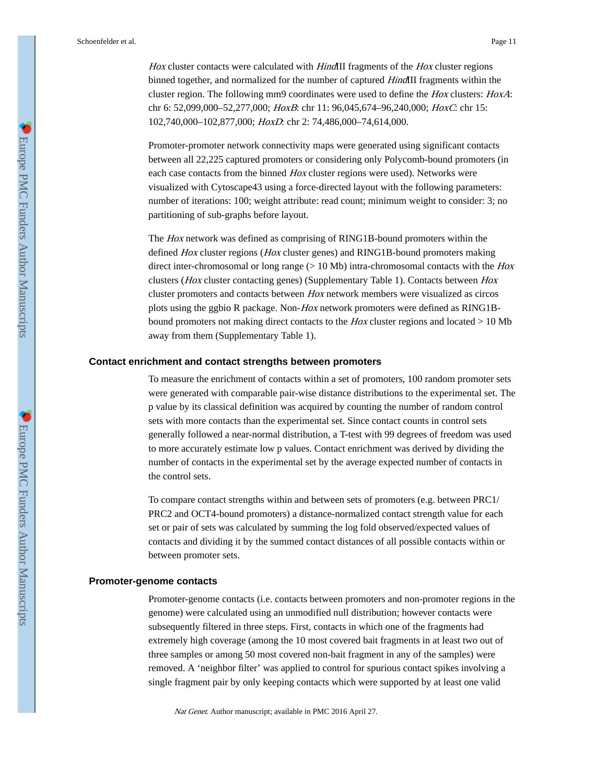Hox cluster contacts were calculated with HindIII fragments of the Hox cluster regions binned together, and normalized for the number of captured *HindIII* fragments within the cluster region. The following mm9 coordinates were used to define the Hox clusters: HoxA: chr 6: 52,099,000-52,277,000; HoxB: chr 11: 96,045,674-96,240,000; HoxC: chr 15: 102,740,000–102,877,000; HoxD: chr 2: 74,486,000–74,614,000.

Promoter-promoter network connectivity maps were generated using significant contacts between all 22,225 captured promoters or considering only Polycomb-bound promoters (in each case contacts from the binned Hox cluster regions were used). Networks were visualized with Cytoscape43 using a force-directed layout with the following parameters: number of iterations: 100; weight attribute: read count; minimum weight to consider: 3; no partitioning of sub-graphs before layout.

The Hox network was defined as comprising of RING1B-bound promoters within the defined *Hox* cluster regions (*Hox* cluster genes) and RING1B-bound promoters making direct inter-chromosomal or long range  $(> 10$  Mb) intra-chromosomal contacts with the *Hox* clusters (Hox cluster contacting genes) (Supplementary Table 1). Contacts between Hox cluster promoters and contacts between Hox network members were visualized as circos plots using the ggbio R package. Non-Hox network promoters were defined as RING1Bbound promoters not making direct contacts to the  $Hox$  cluster regions and located  $> 10$  Mb away from them (Supplementary Table 1).

#### **Contact enrichment and contact strengths between promoters**

To measure the enrichment of contacts within a set of promoters, 100 random promoter sets were generated with comparable pair-wise distance distributions to the experimental set. The p value by its classical definition was acquired by counting the number of random control sets with more contacts than the experimental set. Since contact counts in control sets generally followed a near-normal distribution, a T-test with 99 degrees of freedom was used to more accurately estimate low p values. Contact enrichment was derived by dividing the number of contacts in the experimental set by the average expected number of contacts in the control sets.

To compare contact strengths within and between sets of promoters (e.g. between PRC1/ PRC2 and OCT4-bound promoters) a distance-normalized contact strength value for each set or pair of sets was calculated by summing the log fold observed/expected values of contacts and dividing it by the summed contact distances of all possible contacts within or between promoter sets.

#### **Promoter-genome contacts**

Promoter-genome contacts (i.e. contacts between promoters and non-promoter regions in the genome) were calculated using an unmodified null distribution; however contacts were subsequently filtered in three steps. First, contacts in which one of the fragments had extremely high coverage (among the 10 most covered bait fragments in at least two out of three samples or among 50 most covered non-bait fragment in any of the samples) were removed. A 'neighbor filter' was applied to control for spurious contact spikes involving a single fragment pair by only keeping contacts which were supported by at least one valid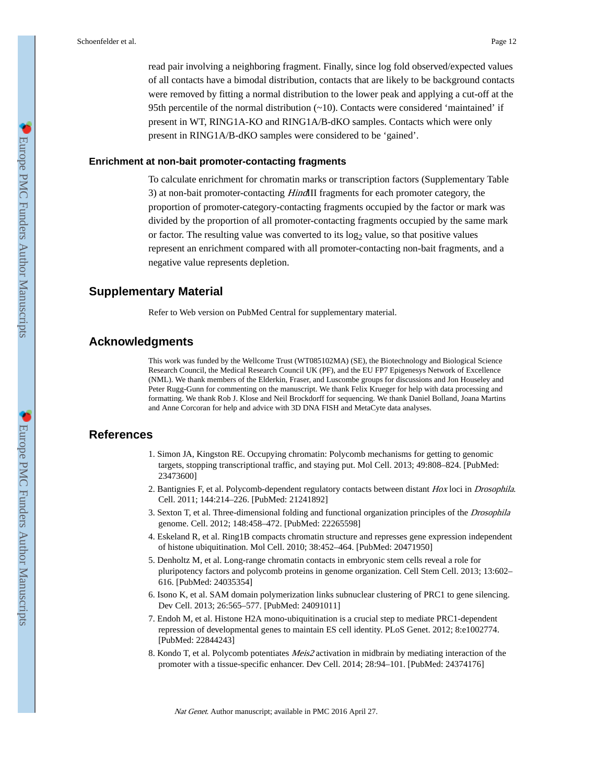read pair involving a neighboring fragment. Finally, since log fold observed/expected values of all contacts have a bimodal distribution, contacts that are likely to be background contacts were removed by fitting a normal distribution to the lower peak and applying a cut-off at the 95th percentile of the normal distribution (~10). Contacts were considered 'maintained' if present in WT, RING1A-KO and RING1A/B-dKO samples. Contacts which were only present in RING1A/B-dKO samples were considered to be 'gained'.

#### **Enrichment at non-bait promoter-contacting fragments**

To calculate enrichment for chromatin marks or transcription factors (Supplementary Table 3) at non-bait promoter-contacting HindIII fragments for each promoter category, the proportion of promoter-category-contacting fragments occupied by the factor or mark was divided by the proportion of all promoter-contacting fragments occupied by the same mark or factor. The resulting value was converted to its  $log<sub>2</sub>$  value, so that positive values represent an enrichment compared with all promoter-contacting non-bait fragments, and a negative value represents depletion.

## **Supplementary Material**

Refer to Web version on PubMed Central for supplementary material.

## **Acknowledgments**

This work was funded by the Wellcome Trust (WT085102MA) (SE), the Biotechnology and Biological Science Research Council, the Medical Research Council UK (PF), and the EU FP7 Epigenesys Network of Excellence (NML). We thank members of the Elderkin, Fraser, and Luscombe groups for discussions and Jon Houseley and Peter Rugg-Gunn for commenting on the manuscript. We thank Felix Krueger for help with data processing and formatting. We thank Rob J. Klose and Neil Brockdorff for sequencing. We thank Daniel Bolland, Joana Martins and Anne Corcoran for help and advice with 3D DNA FISH and MetaCyte data analyses.

## **References**

- 1. Simon JA, Kingston RE. Occupying chromatin: Polycomb mechanisms for getting to genomic targets, stopping transcriptional traffic, and staying put. Mol Cell. 2013; 49:808–824. [PubMed: 23473600]
- 2. Bantignies F, et al. Polycomb-dependent regulatory contacts between distant Hox loci in Drosophila. Cell. 2011; 144:214–226. [PubMed: 21241892]
- 3. Sexton T, et al. Three-dimensional folding and functional organization principles of the Drosophila genome. Cell. 2012; 148:458–472. [PubMed: 22265598]
- 4. Eskeland R, et al. Ring1B compacts chromatin structure and represses gene expression independent of histone ubiquitination. Mol Cell. 2010; 38:452–464. [PubMed: 20471950]
- 5. Denholtz M, et al. Long-range chromatin contacts in embryonic stem cells reveal a role for pluripotency factors and polycomb proteins in genome organization. Cell Stem Cell. 2013; 13:602– 616. [PubMed: 24035354]
- 6. Isono K, et al. SAM domain polymerization links subnuclear clustering of PRC1 to gene silencing. Dev Cell. 2013; 26:565–577. [PubMed: 24091011]
- 7. Endoh M, et al. Histone H2A mono-ubiquitination is a crucial step to mediate PRC1-dependent repression of developmental genes to maintain ES cell identity. PLoS Genet. 2012; 8:e1002774. [PubMed: 22844243]
- 8. Kondo T, et al. Polycomb potentiates Meis2 activation in midbrain by mediating interaction of the promoter with a tissue-specific enhancer. Dev Cell. 2014; 28:94–101. [PubMed: 24374176]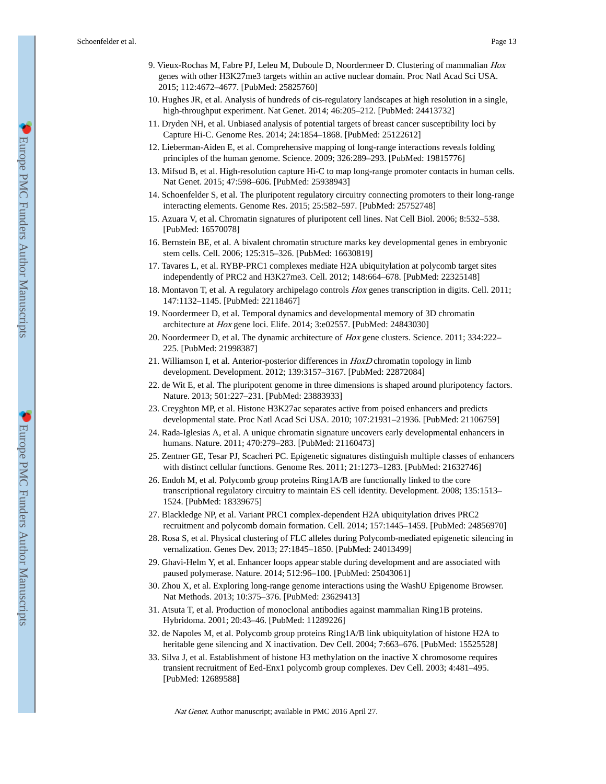- 9. Vieux-Rochas M, Fabre PJ, Leleu M, Duboule D, Noordermeer D. Clustering of mammalian Hox genes with other H3K27me3 targets within an active nuclear domain. Proc Natl Acad Sci USA. 2015; 112:4672–4677. [PubMed: 25825760]
- 10. Hughes JR, et al. Analysis of hundreds of cis-regulatory landscapes at high resolution in a single, high-throughput experiment. Nat Genet. 2014; 46:205–212. [PubMed: 24413732]
- 11. Dryden NH, et al. Unbiased analysis of potential targets of breast cancer susceptibility loci by Capture Hi-C. Genome Res. 2014; 24:1854–1868. [PubMed: 25122612]
- 12. Lieberman-Aiden E, et al. Comprehensive mapping of long-range interactions reveals folding principles of the human genome. Science. 2009; 326:289–293. [PubMed: 19815776]
- 13. Mifsud B, et al. High-resolution capture Hi-C to map long-range promoter contacts in human cells. Nat Genet. 2015; 47:598–606. [PubMed: 25938943]
- 14. Schoenfelder S, et al. The pluripotent regulatory circuitry connecting promoters to their long-range interacting elements. Genome Res. 2015; 25:582–597. [PubMed: 25752748]
- 15. Azuara V, et al. Chromatin signatures of pluripotent cell lines. Nat Cell Biol. 2006; 8:532–538. [PubMed: 16570078]
- 16. Bernstein BE, et al. A bivalent chromatin structure marks key developmental genes in embryonic stem cells. Cell. 2006; 125:315–326. [PubMed: 16630819]
- 17. Tavares L, et al. RYBP-PRC1 complexes mediate H2A ubiquitylation at polycomb target sites independently of PRC2 and H3K27me3. Cell. 2012; 148:664–678. [PubMed: 22325148]
- 18. Montavon T, et al. A regulatory archipelago controls Hox genes transcription in digits. Cell. 2011; 147:1132–1145. [PubMed: 22118467]
- 19. Noordermeer D, et al. Temporal dynamics and developmental memory of 3D chromatin architecture at Hox gene loci. Elife. 2014; 3:e02557. [PubMed: 24843030]
- 20. Noordermeer D, et al. The dynamic architecture of Hox gene clusters. Science. 2011; 334:222– 225. [PubMed: 21998387]
- 21. Williamson I, et al. Anterior-posterior differences in HoxD chromatin topology in limb development. Development. 2012; 139:3157–3167. [PubMed: 22872084]
- 22. de Wit E, et al. The pluripotent genome in three dimensions is shaped around pluripotency factors. Nature. 2013; 501:227–231. [PubMed: 23883933]
- 23. Creyghton MP, et al. Histone H3K27ac separates active from poised enhancers and predicts developmental state. Proc Natl Acad Sci USA. 2010; 107:21931–21936. [PubMed: 21106759]
- 24. Rada-Iglesias A, et al. A unique chromatin signature uncovers early developmental enhancers in humans. Nature. 2011; 470:279–283. [PubMed: 21160473]
- 25. Zentner GE, Tesar PJ, Scacheri PC. Epigenetic signatures distinguish multiple classes of enhancers with distinct cellular functions. Genome Res. 2011; 21:1273–1283. [PubMed: 21632746]
- 26. Endoh M, et al. Polycomb group proteins Ring1A/B are functionally linked to the core transcriptional regulatory circuitry to maintain ES cell identity. Development. 2008; 135:1513– 1524. [PubMed: 18339675]
- 27. Blackledge NP, et al. Variant PRC1 complex-dependent H2A ubiquitylation drives PRC2 recruitment and polycomb domain formation. Cell. 2014; 157:1445–1459. [PubMed: 24856970]
- 28. Rosa S, et al. Physical clustering of FLC alleles during Polycomb-mediated epigenetic silencing in vernalization. Genes Dev. 2013; 27:1845–1850. [PubMed: 24013499]
- 29. Ghavi-Helm Y, et al. Enhancer loops appear stable during development and are associated with paused polymerase. Nature. 2014; 512:96–100. [PubMed: 25043061]
- 30. Zhou X, et al. Exploring long-range genome interactions using the WashU Epigenome Browser. Nat Methods. 2013; 10:375–376. [PubMed: 23629413]
- 31. Atsuta T, et al. Production of monoclonal antibodies against mammalian Ring1B proteins. Hybridoma. 2001; 20:43–46. [PubMed: 11289226]
- 32. de Napoles M, et al. Polycomb group proteins Ring1A/B link ubiquitylation of histone H2A to heritable gene silencing and X inactivation. Dev Cell. 2004; 7:663–676. [PubMed: 15525528]
- 33. Silva J, et al. Establishment of histone H3 methylation on the inactive X chromosome requires transient recruitment of Eed-Enx1 polycomb group complexes. Dev Cell. 2003; 4:481–495. [PubMed: 12689588]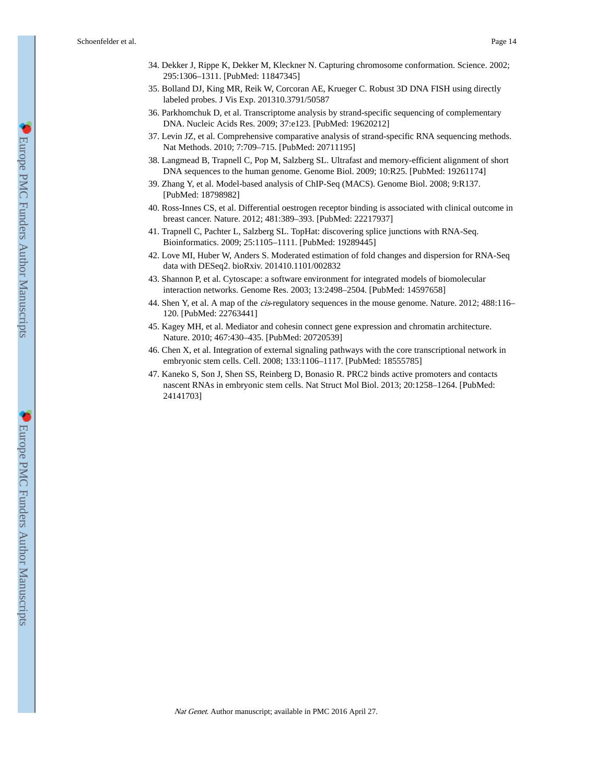- 34. Dekker J, Rippe K, Dekker M, Kleckner N. Capturing chromosome conformation. Science. 2002; 295:1306–1311. [PubMed: 11847345]
- 35. Bolland DJ, King MR, Reik W, Corcoran AE, Krueger C. Robust 3D DNA FISH using directly labeled probes. J Vis Exp. 201310.3791/50587
- 36. Parkhomchuk D, et al. Transcriptome analysis by strand-specific sequencing of complementary DNA. Nucleic Acids Res. 2009; 37:e123. [PubMed: 19620212]
- 37. Levin JZ, et al. Comprehensive comparative analysis of strand-specific RNA sequencing methods. Nat Methods. 2010; 7:709–715. [PubMed: 20711195]
- 38. Langmead B, Trapnell C, Pop M, Salzberg SL. Ultrafast and memory-efficient alignment of short DNA sequences to the human genome. Genome Biol. 2009; 10:R25. [PubMed: 19261174]
- 39. Zhang Y, et al. Model-based analysis of ChIP-Seq (MACS). Genome Biol. 2008; 9:R137. [PubMed: 18798982]
- 40. Ross-Innes CS, et al. Differential oestrogen receptor binding is associated with clinical outcome in breast cancer. Nature. 2012; 481:389–393. [PubMed: 22217937]
- 41. Trapnell C, Pachter L, Salzberg SL. TopHat: discovering splice junctions with RNA-Seq. Bioinformatics. 2009; 25:1105–1111. [PubMed: 19289445]
- 42. Love MI, Huber W, Anders S. Moderated estimation of fold changes and dispersion for RNA-Seq data with DESeq2. bioRxiv. 201410.1101/002832
- 43. Shannon P, et al. Cytoscape: a software environment for integrated models of biomolecular interaction networks. Genome Res. 2003; 13:2498–2504. [PubMed: 14597658]
- 44. Shen Y, et al. A map of the cis-regulatory sequences in the mouse genome. Nature. 2012; 488:116– 120. [PubMed: 22763441]
- 45. Kagey MH, et al. Mediator and cohesin connect gene expression and chromatin architecture. Nature. 2010; 467:430–435. [PubMed: 20720539]
- 46. Chen X, et al. Integration of external signaling pathways with the core transcriptional network in embryonic stem cells. Cell. 2008; 133:1106–1117. [PubMed: 18555785]
- 47. Kaneko S, Son J, Shen SS, Reinberg D, Bonasio R. PRC2 binds active promoters and contacts nascent RNAs in embryonic stem cells. Nat Struct Mol Biol. 2013; 20:1258–1264. [PubMed: 24141703]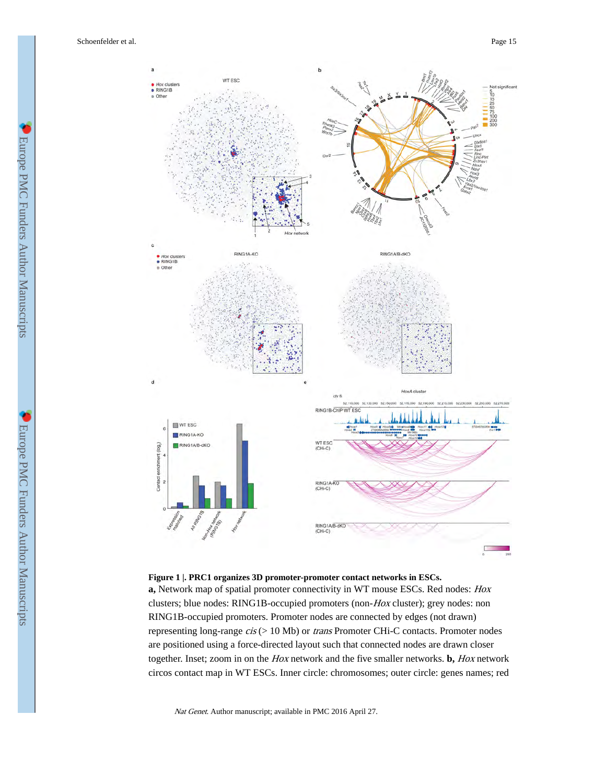

#### **Figure 1 |. PRC1 organizes 3D promoter-promoter contact networks in ESCs.**

**a,** Network map of spatial promoter connectivity in WT mouse ESCs. Red nodes: Hox clusters; blue nodes: RING1B-occupied promoters (non-Hox cluster); grey nodes: non RING1B-occupied promoters. Promoter nodes are connected by edges (not drawn) representing long-range cis (> 10 Mb) or trans Promoter CHi-C contacts. Promoter nodes are positioned using a force-directed layout such that connected nodes are drawn closer together. Inset; zoom in on the Hox network and the five smaller networks. **b,** Hox network circos contact map in WT ESCs. Inner circle: chromosomes; outer circle: genes names; red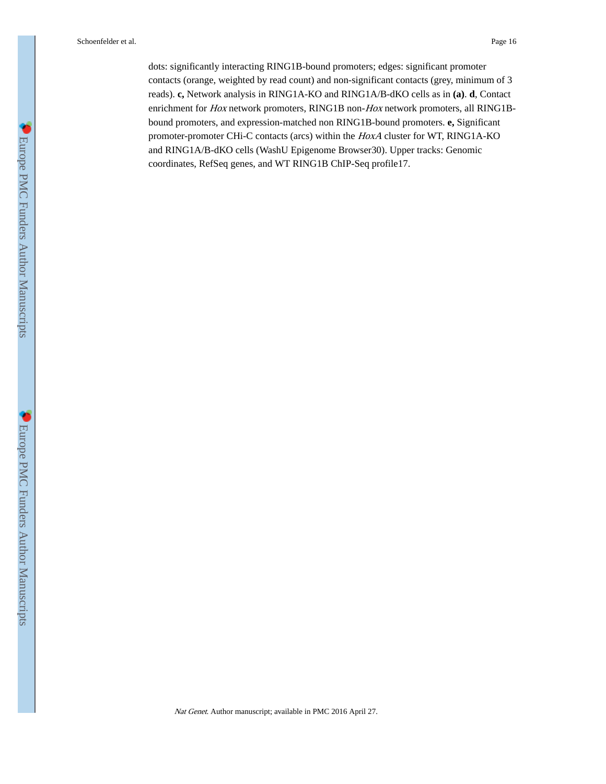dots: significantly interacting RING1B-bound promoters; edges: significant promoter contacts (orange, weighted by read count) and non-significant contacts (grey, minimum of 3 reads). **c,** Network analysis in RING1A-KO and RING1A/B-dKO cells as in **(a)**. **d**, Contact enrichment for Hox network promoters, RING1B non-Hox network promoters, all RING1Bbound promoters, and expression-matched non RING1B-bound promoters. **e,** Significant promoter-promoter CHi-C contacts (arcs) within the HoxA cluster for WT, RING1A-KO and RING1A/B-dKO cells (WashU Epigenome Browser30). Upper tracks: Genomic coordinates, RefSeq genes, and WT RING1B ChIP-Seq profile17.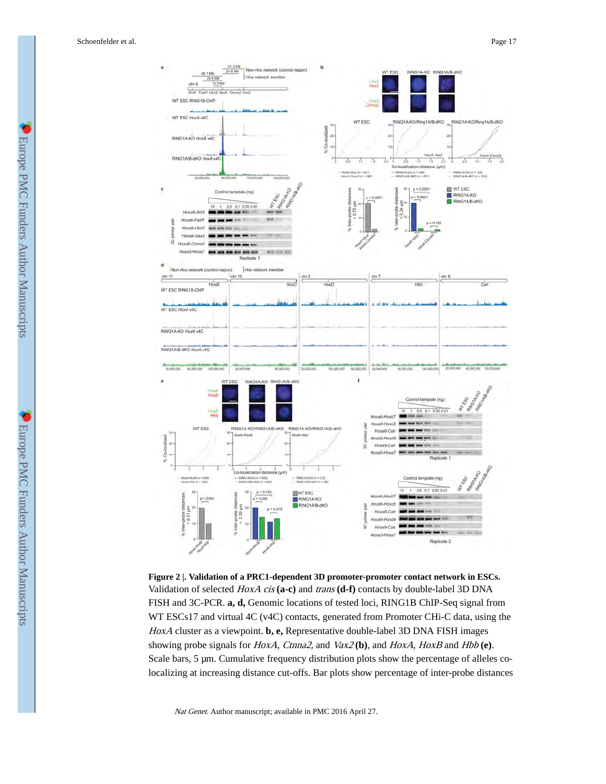

**Figure 2 |. Validation of a PRC1-dependent 3D promoter-promoter contact network in ESCs.** Validation of selected HoxA cis **(a-c)** and trans **(d-f)** contacts by double-label 3D DNA FISH and 3C-PCR. **a, d,** Genomic locations of tested loci, RING1B ChIP-Seq signal from WT ESCs17 and virtual 4C (v4C) contacts, generated from Promoter CHi-C data, using the HoxA cluster as a viewpoint. **b, e,** Representative double-label 3D DNA FISH images showing probe signals for HoxA, Ctnna2, and Vax2 **(b)**, and HoxA, HoxB and Hbb **(e)**. Scale bars, 5 µm. Cumulative frequency distribution plots show the percentage of alleles colocalizing at increasing distance cut-offs. Bar plots show percentage of inter-probe distances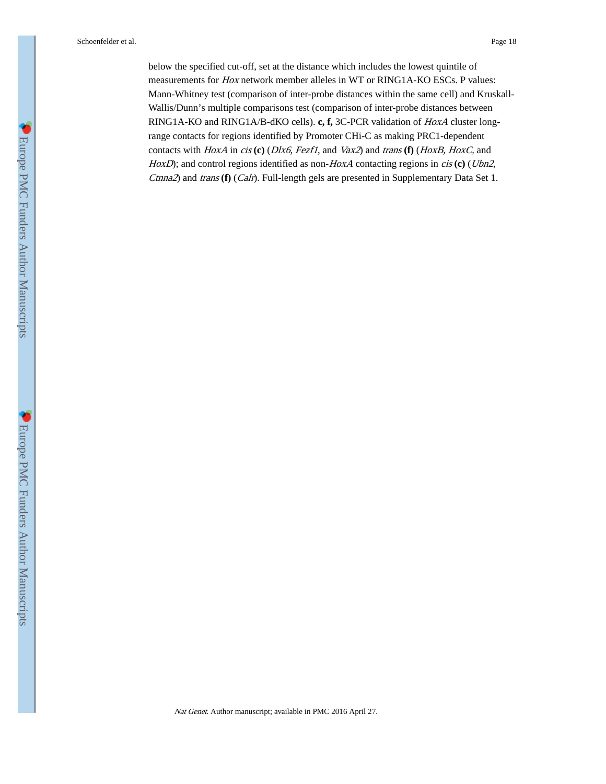below the specified cut-off, set at the distance which includes the lowest quintile of measurements for Hox network member alleles in WT or RING1A-KO ESCs. P values: Mann-Whitney test (comparison of inter-probe distances within the same cell) and Kruskall-Wallis/Dunn's multiple comparisons test (comparison of inter-probe distances between RING1A-KO and RING1A/B-dKO cells). **c, f,** 3C-PCR validation of HoxA cluster longrange contacts for regions identified by Promoter CHi-C as making PRC1-dependent contacts with HoxA in cis **(c)** (Dlx6, Fezf1, and Vax2) and trans **(f)** (HoxB, HoxC, and HoxD); and control regions identified as non-HoxA contacting regions in *cis* (c) (Ubn2, Ctnna2) and trans **(f)** (Calr). Full-length gels are presented in Supplementary Data Set 1.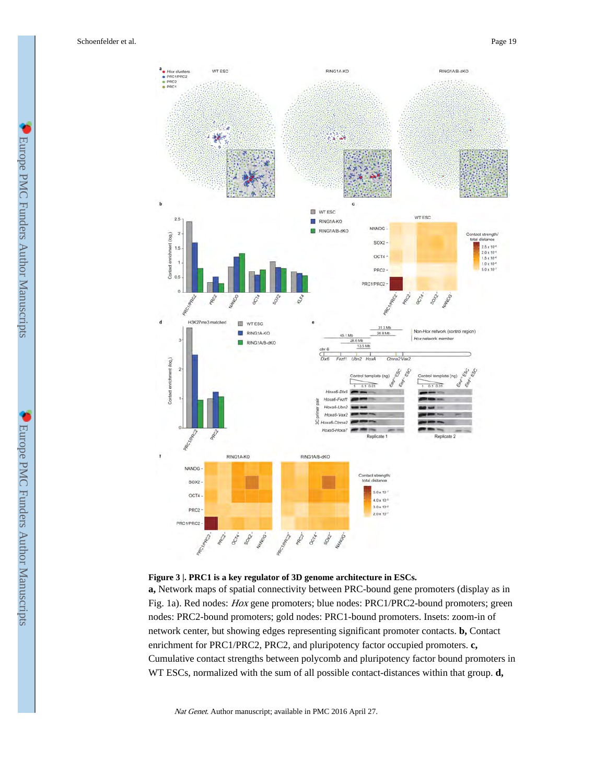



**a,** Network maps of spatial connectivity between PRC-bound gene promoters (display as in Fig. 1a). Red nodes: Hox gene promoters; blue nodes: PRC1/PRC2-bound promoters; green nodes: PRC2-bound promoters; gold nodes: PRC1-bound promoters. Insets: zoom-in of network center, but showing edges representing significant promoter contacts. **b,** Contact enrichment for PRC1/PRC2, PRC2, and pluripotency factor occupied promoters. **c,**  Cumulative contact strengths between polycomb and pluripotency factor bound promoters in WT ESCs, normalized with the sum of all possible contact-distances within that group. **d,**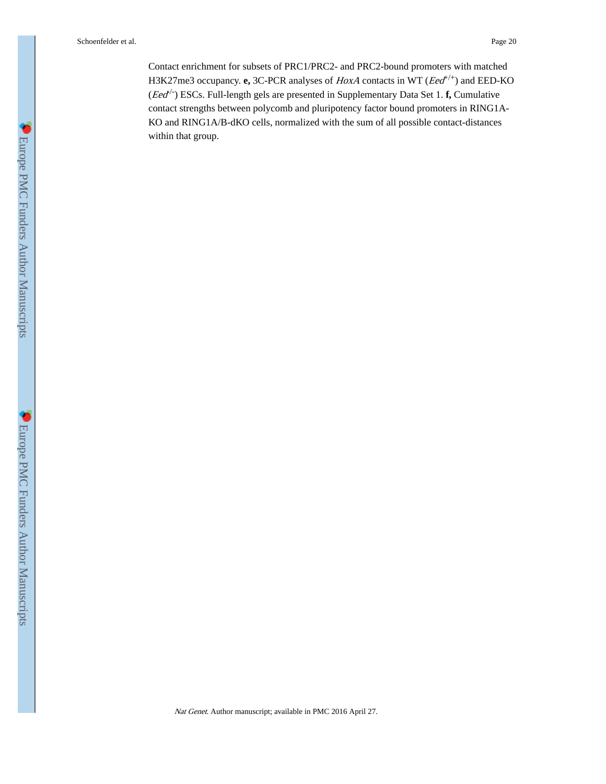Contact enrichment for subsets of PRC1/PRC2- and PRC2-bound promoters with matched H3K27me3 occupancy. **e**, 3C-PCR analyses of *HoxA* contacts in WT (*Eed*<sup>+/+</sup>) and EED-KO (*Eed*<sup>/-</sup>) ESCs. Full-length gels are presented in Supplementary Data Set 1. **f**, Cumulative contact strengths between polycomb and pluripotency factor bound promoters in RING1A-KO and RING1A/B-dKO cells, normalized with the sum of all possible contact-distances within that group.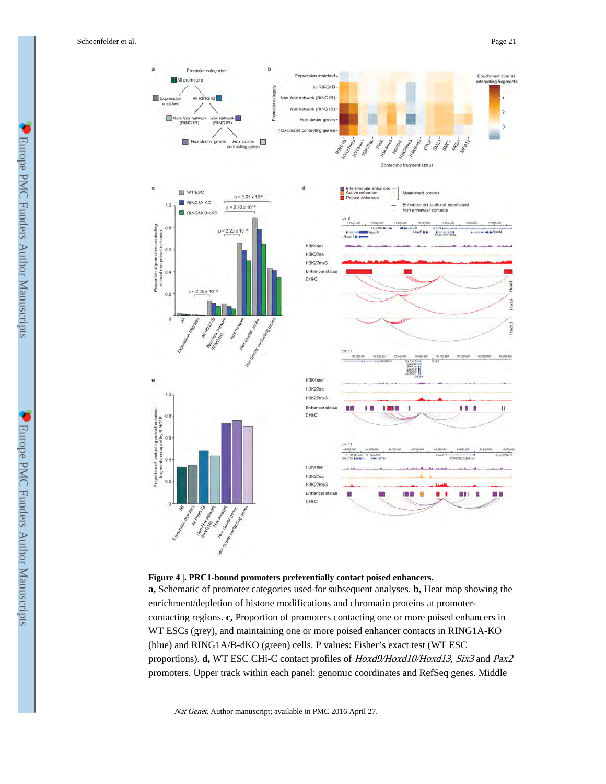



#### **Figure 4 |. PRC1-bound promoters preferentially contact poised enhancers.**

**a,** Schematic of promoter categories used for subsequent analyses. **b,** Heat map showing the enrichment/depletion of histone modifications and chromatin proteins at promotercontacting regions. **c,** Proportion of promoters contacting one or more poised enhancers in WT ESCs (grey), and maintaining one or more poised enhancer contacts in RING1A-KO (blue) and RING1A/B-dKO (green) cells. P values: Fisher's exact test (WT ESC proportions). **d,** WT ESC CHi-C contact profiles of Hoxd9/Hoxd10/Hoxd13, Six3 and Pax2 promoters. Upper track within each panel: genomic coordinates and RefSeq genes. Middle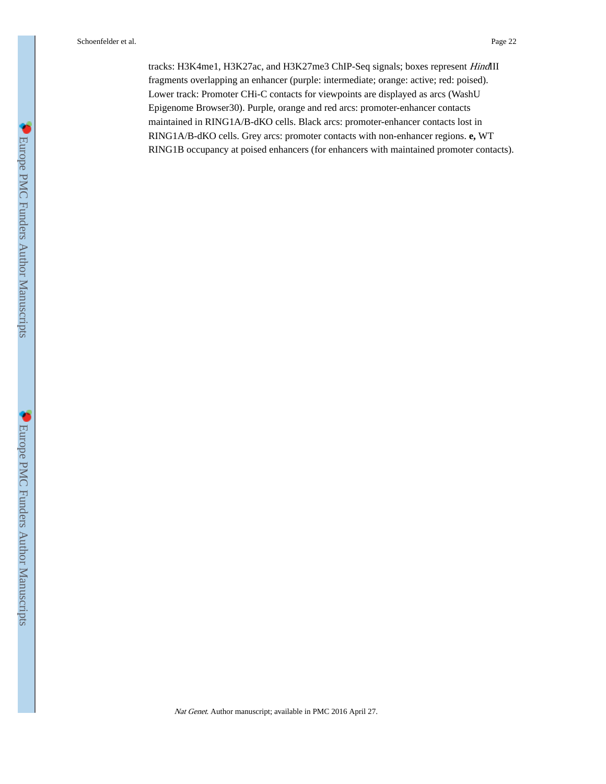tracks: H3K4me1, H3K27ac, and H3K27me3 ChIP-Seq signals; boxes represent HindIII fragments overlapping an enhancer (purple: intermediate; orange: active; red: poised). Lower track: Promoter CHi-C contacts for viewpoints are displayed as arcs (WashU Epigenome Browser30). Purple, orange and red arcs: promoter-enhancer contacts maintained in RING1A/B-dKO cells. Black arcs: promoter-enhancer contacts lost in RING1A/B-dKO cells. Grey arcs: promoter contacts with non-enhancer regions. **e,** WT RING1B occupancy at poised enhancers (for enhancers with maintained promoter contacts).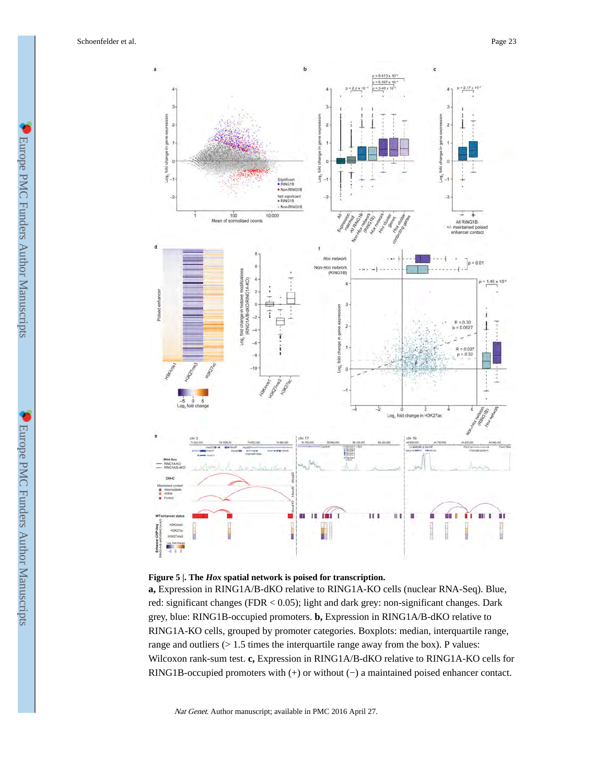



**a,** Expression in RING1A/B-dKO relative to RING1A-KO cells (nuclear RNA-Seq). Blue, red: significant changes (FDR < 0.05); light and dark grey: non-significant changes. Dark grey, blue: RING1B-occupied promoters. **b,** Expression in RING1A/B-dKO relative to RING1A-KO cells, grouped by promoter categories. Boxplots: median, interquartile range, range and outliers  $(> 1.5$  times the interquartile range away from the box). P values: Wilcoxon rank-sum test. **c,** Expression in RING1A/B-dKO relative to RING1A-KO cells for RING1B-occupied promoters with (+) or without (−) a maintained poised enhancer contact.